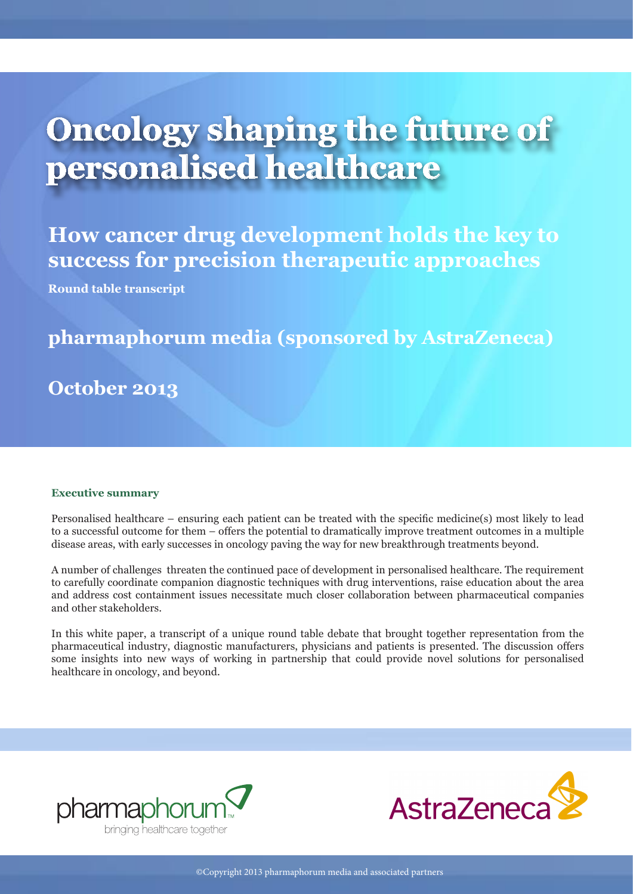# **Oncology shaping the future of personalised healthcare**

**How cancer drug development holds the key to success for precision therapeutic approaches** 

**Round table transcript**

### **pharmaphorum media (sponsored by AstraZeneca)**

**October 2013**

#### **Executive summary**

Personalised healthcare – ensuring each patient can be treated with the specific medicine(s) most likely to lead to a successful outcome for them – offers the potential to dramatically improve treatment outcomes in a multiple disease areas, with early successes in oncology paving the way for new breakthrough treatments beyond.

A number of challenges threaten the continued pace of development in personalised healthcare. The requirement to carefully coordinate companion diagnostic techniques with drug interventions, raise education about the area and address cost containment issues necessitate much closer collaboration between pharmaceutical companies and other stakeholders.

In this white paper, a transcript of a unique round table debate that brought together representation from the pharmaceutical industry, diagnostic manufacturers, physicians and patients is presented. The discussion offers some insights into new ways of working in partnership that could provide novel solutions for personalised healthcare in oncology, and beyond.



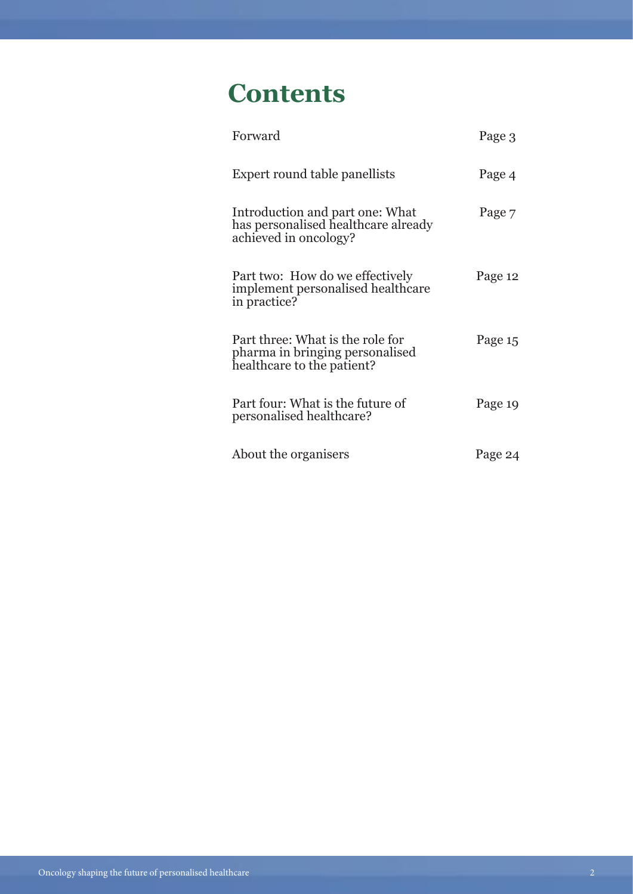# **Contents**

| Forward                                                                                           | Page 3  |
|---------------------------------------------------------------------------------------------------|---------|
| Expert round table panellists                                                                     | Page 4  |
| Introduction and part one: What<br>has personalised healthcare already<br>achieved in oncology?   | Page 7  |
| Part two: How do we effectively<br>implement personalised healthcare<br>in practice?              | Page 12 |
| Part three: What is the role for<br>pharma in bringing personalised<br>healthcare to the patient? | Page 15 |
| Part four: What is the future of<br>personalised healthcare?                                      | Page 19 |
| About the organisers                                                                              | Page 24 |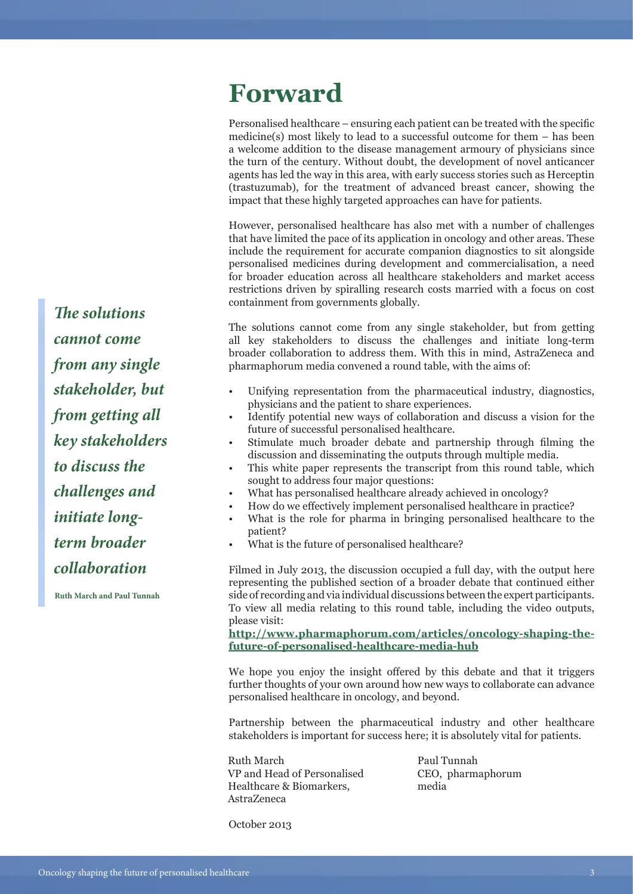# **Forward**

Personalised healthcare – ensuring each patient can be treated with the specific medicine(s) most likely to lead to a successful outcome for them – has been a welcome addition to the disease management armoury of physicians since the turn of the century. Without doubt, the development of novel anticancer agents has led the way in this area, with early success stories such as Herceptin (trastuzumab), for the treatment of advanced breast cancer, showing the impact that these highly targeted approaches can have for patients.

However, personalised healthcare has also met with a number of challenges that have limited the pace of its application in oncology and other areas. These include the requirement for accurate companion diagnostics to sit alongside personalised medicines during development and commercialisation, a need for broader education across all healthcare stakeholders and market access restrictions driven by spiralling research costs married with a focus on cost containment from governments globally.

The solutions cannot come from any single stakeholder, but from getting all key stakeholders to discuss the challenges and initiate long-term broader collaboration to address them. With this in mind, AstraZeneca and pharmaphorum media convened a round table, with the aims of:

- Unifying representation from the pharmaceutical industry, diagnostics, physicians and the patient to share experiences.
- Identify potential new ways of collaboration and discuss a vision for the future of successful personalised healthcare.
- Stimulate much broader debate and partnership through filming the discussion and disseminating the outputs through multiple media.
- This white paper represents the transcript from this round table, which sought to address four major questions:
- What has personalised healthcare already achieved in oncology?
- How do we effectively implement personalised healthcare in practice?
- What is the role for pharma in bringing personalised healthcare to the patient?
- What is the future of personalised healthcare?

Filmed in July 2013, the discussion occupied a full day, with the output here representing the published section of a broader debate that continued either side of recording and via individual discussions between the expert participants. To view all media relating to this round table, including the video outputs, please visit:

**[http://www.pharmaphorum.com/articles/oncology-shaping-the](http://www.pharmaphorum.com/articles/oncology-shaping-the-future-of-personalised-healthcare-media-hub)[future-of-personalised-healthcare-media-hub](http://www.pharmaphorum.com/articles/oncology-shaping-the-future-of-personalised-healthcare-media-hub)**

We hope you enjoy the insight offered by this debate and that it triggers further thoughts of your own around how new ways to collaborate can advance personalised healthcare in oncology, and beyond.

Partnership between the pharmaceutical industry and other healthcare stakeholders is important for success here; it is absolutely vital for patients.

Ruth March VP and Head of Personalised Healthcare & Biomarkers, AstraZeneca

Paul Tunnah CEO, pharmaphorum media

*The solutions cannot come from any single stakeholder, but from getting all key stakeholders to discuss the challenges and initiate longterm broader collaboration* 

**Ruth March and Paul Tunnah**

October 2013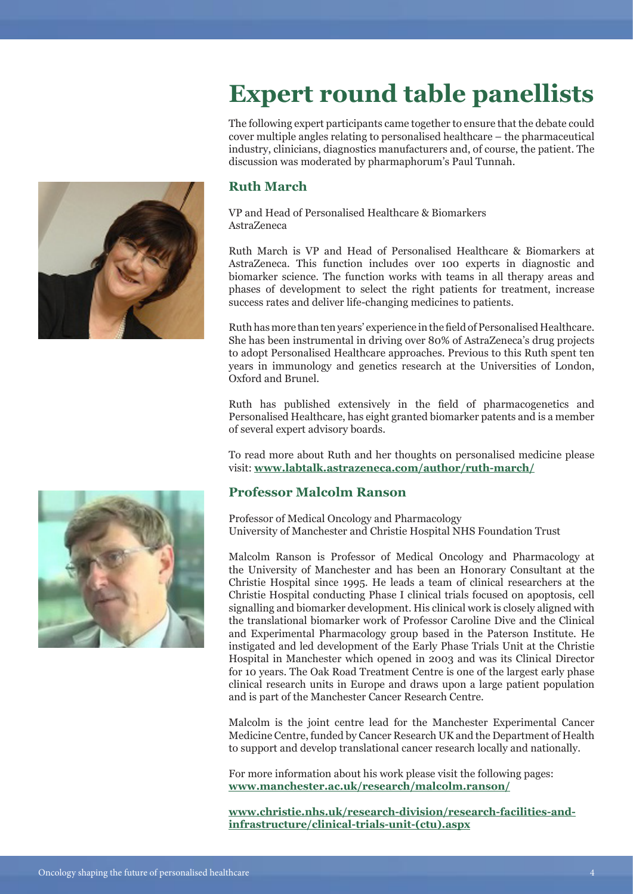# **Expert round table panellists**

The following expert participants came together to ensure that the debate could cover multiple angles relating to personalised healthcare – the pharmaceutical industry, clinicians, diagnostics manufacturers and, of course, the patient. The discussion was moderated by pharmaphorum's Paul Tunnah.

#### **Ruth March**

VP and Head of Personalised Healthcare & Biomarkers AstraZeneca

Ruth March is VP and Head of Personalised Healthcare & Biomarkers at AstraZeneca. This function includes over 100 experts in diagnostic and biomarker science. The function works with teams in all therapy areas and phases of development to select the right patients for treatment, increase success rates and deliver life-changing medicines to patients.

Ruth has more than ten years' experience in the field of Personalised Healthcare. She has been instrumental in driving over 80% of AstraZeneca's drug projects to adopt Personalised Healthcare approaches. Previous to this Ruth spent ten years in immunology and genetics research at the Universities of London, Oxford and Brunel.

Ruth has published extensively in the field of pharmacogenetics and Personalised Healthcare, has eight granted biomarker patents and is a member of several expert advisory boards.

To read more about Ruth and her thoughts on personalised medicine please visit: **[www.labtalk.astrazeneca.com/author/ruth-march/](http://www.labtalk.astrazeneca.com/author/ruth-march/)**

#### **Professor Malcolm Ranson**

Professor of Medical Oncology and Pharmacology University of Manchester and Christie Hospital NHS Foundation Trust

Malcolm Ranson is Professor of Medical Oncology and Pharmacology at the University of Manchester and has been an Honorary Consultant at the Christie Hospital since 1995. He leads a team of clinical researchers at the Christie Hospital conducting Phase I clinical trials focused on apoptosis, cell signalling and biomarker development. His clinical work is closely aligned with the translational biomarker work of Professor Caroline Dive and the Clinical and Experimental Pharmacology group based in the Paterson Institute. He instigated and led development of the Early Phase Trials Unit at the Christie Hospital in Manchester which opened in 2003 and was its Clinical Director for 10 years. The Oak Road Treatment Centre is one of the largest early phase clinical research units in Europe and draws upon a large patient population and is part of the Manchester Cancer Research Centre.

Malcolm is the joint centre lead for the Manchester Experimental Cancer Medicine Centre, funded by Cancer Research UK and the Department of Health to support and develop translational cancer research locally and nationally.

For more information about his work please visit the following pages: **[www.manchester.ac.uk/research/malcolm.ranson/](http://www.manchester.ac.uk/research/malcolm.ranson/)**

**[www.christie.nhs.uk/research-division/research-facilities-and](http://www.christie.nhs.uk/research-division/research-facilities-and-infrastructure/clinical-trials-unit-%28ctu%29.aspx)[infrastructure/clinical-trials-unit-\(ctu\).aspx](http://www.christie.nhs.uk/research-division/research-facilities-and-infrastructure/clinical-trials-unit-%28ctu%29.aspx)**



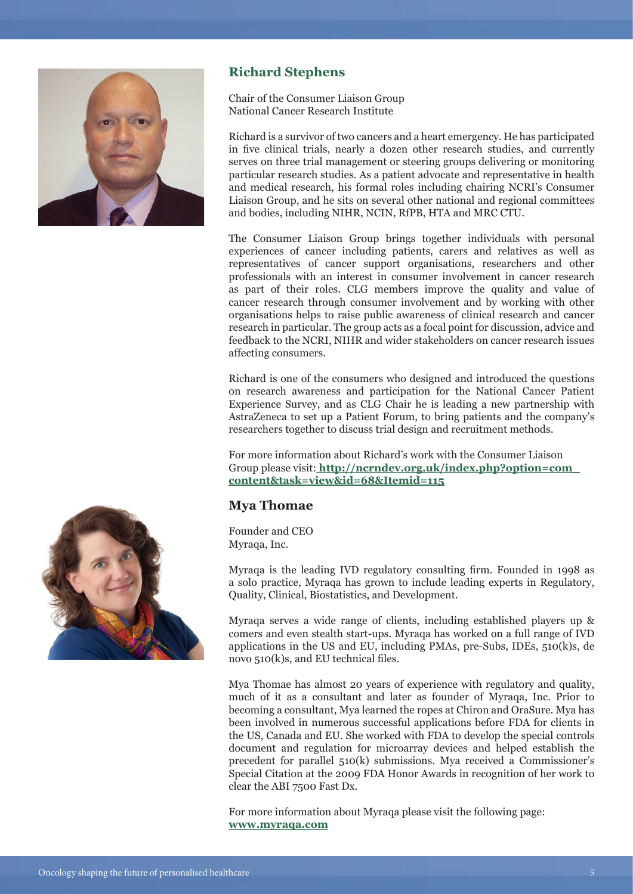

#### **Richard Stephens**

Chair of the Consumer Liaison Group National Cancer Research Institute

Richard is a survivor of two cancers and a heart emergency. He has participated in five clinical trials, nearly a dozen other research studies, and currently serves on three trial management or steering groups delivering or monitoring particular research studies. As a patient advocate and representative in health and medical research, his formal roles including chairing NCRI's Consumer Liaison Group, and he sits on several other national and regional committees and bodies, including NIHR, NCIN, RfPB, HTA and MRC CTU.

The Consumer Liaison Group brings together individuals with personal experiences of cancer including patients, carers and relatives as well as representatives of cancer support organisations, researchers and other professionals with an interest in consumer involvement in cancer research as part of their roles. CLG members improve the quality and value of cancer research through consumer involvement and by working with other organisations helps to raise public awareness of clinical research and cancer research in particular. The group acts as a focal point for discussion, advice and feedback to the NCRI, NIHR and wider stakeholders on cancer research issues affecting consumers.

Richard is one of the consumers who designed and introduced the questions on research awareness and participation for the National Cancer Patient Experience Survey, and as CLG Chair he is leading a new partnership with AstraZeneca to set up a Patient Forum, to bring patients and the company's researchers together to discuss trial design and recruitment methods.

For more information about Richard's work with the Consumer Liaison Group please visit: **[http://ncrndev.org.uk/index.php?option=com\\_](http://ncrndev.org.uk/index.php%3Foption%3Dcom_content%26task%3Dview%26id%3D68%26Itemid%3D115) [content&task=view&id=68&Itemid=115](http://ncrndev.org.uk/index.php%3Foption%3Dcom_content%26task%3Dview%26id%3D68%26Itemid%3D115)**

#### **Mya Thomae**

Founder and CEO Myraqa, Inc.

Myraqa is the leading IVD regulatory consulting firm. Founded in 1998 as a solo practice, Myraqa has grown to include leading experts in Regulatory, Quality, Clinical, Biostatistics, and Development.

Myraqa serves a wide range of clients, including established players up & comers and even stealth start-ups. Myraqa has worked on a full range of IVD applications in the US and EU, including PMAs, pre-Subs, IDEs, 510(k)s, de novo 510(k)s, and EU technical files.

Mya Thomae has almost 20 years of experience with regulatory and quality, much of it as a consultant and later as founder of Myraqa, Inc. Prior to becoming a consultant, Mya learned the ropes at Chiron and OraSure. Mya has been involved in numerous successful applications before FDA for clients in the US, Canada and EU. She worked with FDA to develop the special controls document and regulation for microarray devices and helped establish the precedent for parallel 510(k) submissions. Mya received a Commissioner's Special Citation at the 2009 FDA Honor Awards in recognition of her work to clear the ABI 7500 Fast Dx.

For more information about Myraqa please visit the following page: **[www.myraqa.com](http://www.myraqa.com)**

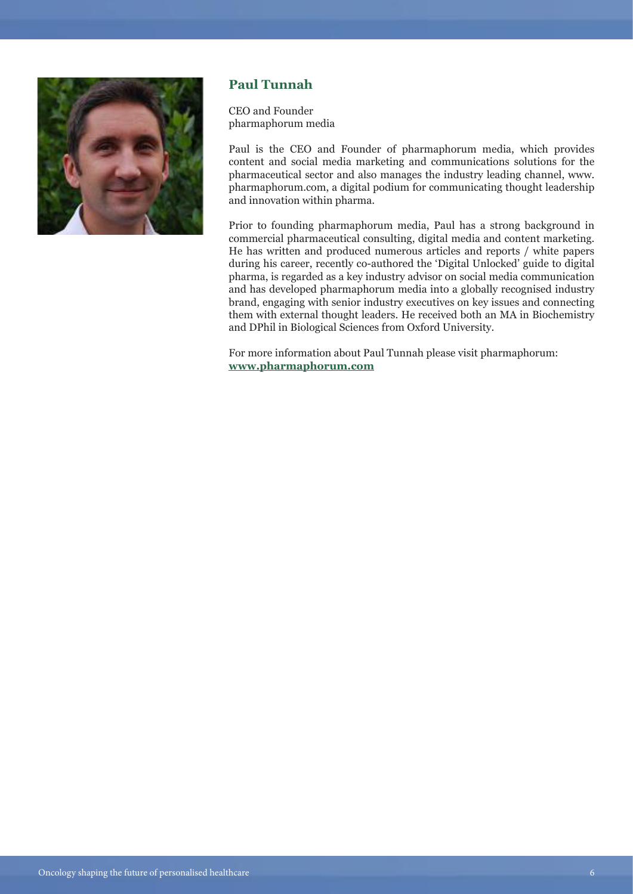

#### **Paul Tunnah**

CEO and Founder pharmaphorum media

Paul is the CEO and Founder of pharmaphorum media, which provides content and social media marketing and communications solutions for the pharmaceutical sector and also manages the industry leading channel, www. pharmaphorum.com, a digital podium for communicating thought leadership and innovation within pharma.

Prior to founding pharmaphorum media, Paul has a strong background in commercial pharmaceutical consulting, digital media and content marketing. He has written and produced numerous articles and reports / white papers during his career, recently co-authored the 'Digital Unlocked' guide to digital pharma, is regarded as a key industry advisor on social media communication and has developed pharmaphorum media into a globally recognised industry brand, engaging with senior industry executives on key issues and connecting them with external thought leaders. He received both an MA in Biochemistry and DPhil in Biological Sciences from Oxford University.

For more information about Paul Tunnah please visit pharmaphorum: **[www.pharmaphorum.com](http://www.pharmaphorum.com)**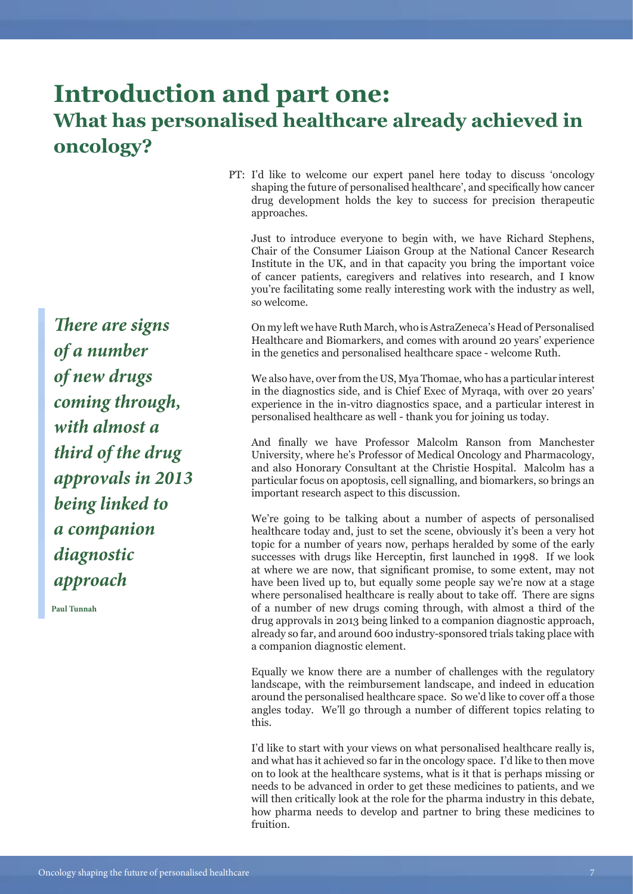## **Introduction and part one: What has personalised healthcare already achieved in oncology?**

PT: I'd like to welcome our expert panel here today to discuss 'oncology shaping the future of personalised healthcare', and specifically how cancer drug development holds the key to success for precision therapeutic approaches.

Just to introduce everyone to begin with, we have Richard Stephens, Chair of the Consumer Liaison Group at the National Cancer Research Institute in the UK, and in that capacity you bring the important voice of cancer patients, caregivers and relatives into research, and I know you're facilitating some really interesting work with the industry as well, so welcome.

On my left we have Ruth March, who is AstraZeneca's Head of Personalised Healthcare and Biomarkers, and comes with around 20 years' experience in the genetics and personalised healthcare space - welcome Ruth.

We also have, over from the US, Mya Thomae, who has a particular interest in the diagnostics side, and is Chief Exec of Myraqa, with over 20 years' experience in the in-vitro diagnostics space, and a particular interest in personalised healthcare as well - thank you for joining us today.

And finally we have Professor Malcolm Ranson from Manchester University, where he's Professor of Medical Oncology and Pharmacology, and also Honorary Consultant at the Christie Hospital. Malcolm has a particular focus on apoptosis, cell signalling, and biomarkers, so brings an important research aspect to this discussion.

We're going to be talking about a number of aspects of personalised healthcare today and, just to set the scene, obviously it's been a very hot topic for a number of years now, perhaps heralded by some of the early successes with drugs like Herceptin, first launched in 1998. If we look at where we are now, that significant promise, to some extent, may not have been lived up to, but equally some people say we're now at a stage where personalised healthcare is really about to take off. There are signs of a number of new drugs coming through, with almost a third of the drug approvals in 2013 being linked to a companion diagnostic approach, already so far, and around 600 industry-sponsored trials taking place with a companion diagnostic element.

Equally we know there are a number of challenges with the regulatory landscape, with the reimbursement landscape, and indeed in education around the personalised healthcare space. So we'd like to cover off a those angles today. We'll go through a number of different topics relating to this.

I'd like to start with your views on what personalised healthcare really is, and what has it achieved so far in the oncology space. I'd like to then move on to look at the healthcare systems, what is it that is perhaps missing or needs to be advanced in order to get these medicines to patients, and we will then critically look at the role for the pharma industry in this debate, how pharma needs to develop and partner to bring these medicines to fruition.

*There are signs of a number of new drugs coming through, with almost a third of the drug approvals in 2013 being linked to a companion diagnostic approach*

**Paul Tunnah**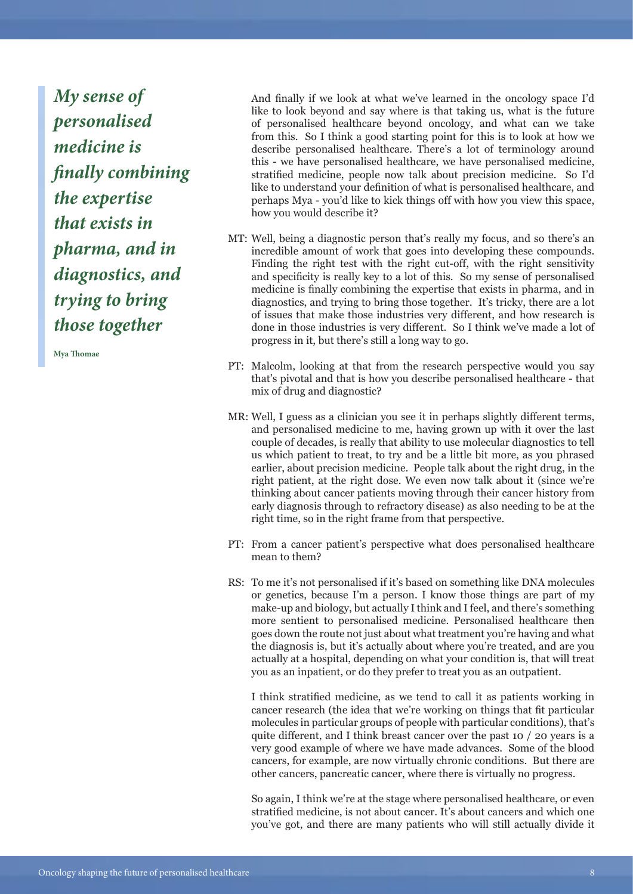*My sense of personalised medicine is finally combining the expertise that exists in pharma, and in diagnostics, and trying to bring those together* 

**Mya Thomae**

And finally if we look at what we've learned in the oncology space I'd like to look beyond and say where is that taking us, what is the future of personalised healthcare beyond oncology, and what can we take from this. So I think a good starting point for this is to look at how we describe personalised healthcare. There's a lot of terminology around this - we have personalised healthcare, we have personalised medicine, stratified medicine, people now talk about precision medicine. So I'd like to understand your definition of what is personalised healthcare, and perhaps Mya - you'd like to kick things off with how you view this space, how you would describe it?

- Well, being a diagnostic person that's really my focus, and so there's an MT: incredible amount of work that goes into developing these compounds. Finding the right test with the right cut-off, with the right sensitivity and specificity is really key to a lot of this. So my sense of personalised medicine is finally combining the expertise that exists in pharma, and in diagnostics, and trying to bring those together. It's tricky, there are a lot of issues that make those industries very different, and how research is done in those industries is very different. So I think we've made a lot of progress in it, but there's still a long way to go.
- PT: Malcolm, looking at that from the research perspective would you say that's pivotal and that is how you describe personalised healthcare - that mix of drug and diagnostic?
- Well, I guess as a clinician you see it in perhaps slightly different terms, MR: and personalised medicine to me, having grown up with it over the last couple of decades, is really that ability to use molecular diagnostics to tell us which patient to treat, to try and be a little bit more, as you phrased earlier, about precision medicine. People talk about the right drug, in the right patient, at the right dose. We even now talk about it (since we're thinking about cancer patients moving through their cancer history from early diagnosis through to refractory disease) as also needing to be at the right time, so in the right frame from that perspective.
- PT: From a cancer patient's perspective what does personalised healthcare mean to them?
- RS: To me it's not personalised if it's based on something like DNA molecules or genetics, because I'm a person. I know those things are part of my make-up and biology, but actually I think and I feel, and there's something more sentient to personalised medicine. Personalised healthcare then goes down the route not just about what treatment you're having and what the diagnosis is, but it's actually about where you're treated, and are you actually at a hospital, depending on what your condition is, that will treat you as an inpatient, or do they prefer to treat you as an outpatient.

I think stratified medicine, as we tend to call it as patients working in cancer research (the idea that we're working on things that fit particular molecules in particular groups of people with particular conditions), that's quite different, and I think breast cancer over the past 10 / 20 years is a very good example of where we have made advances. Some of the blood cancers, for example, are now virtually chronic conditions. But there are other cancers, pancreatic cancer, where there is virtually no progress.

So again, I think we're at the stage where personalised healthcare, or even stratified medicine, is not about cancer. It's about cancers and which one you've got, and there are many patients who will still actually divide it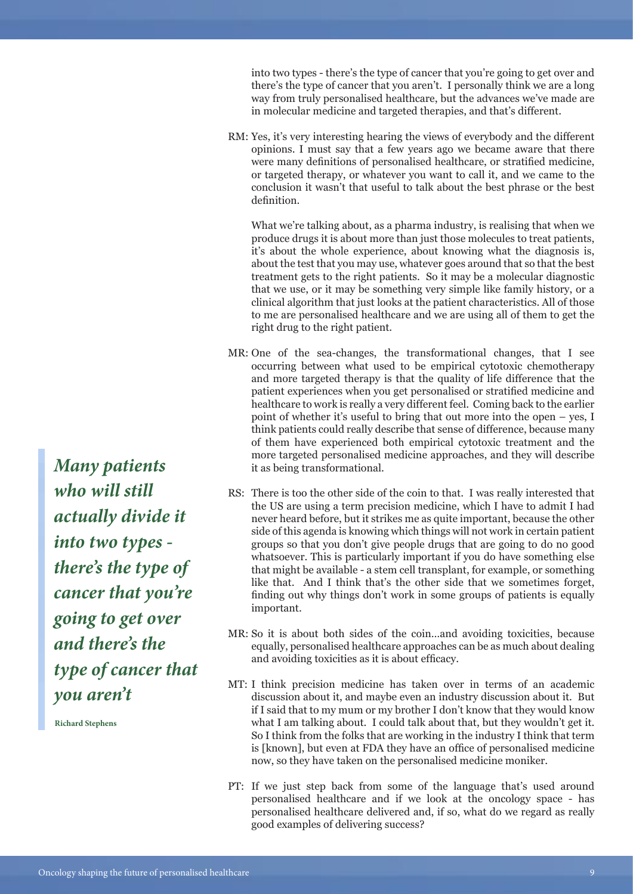into two types - there's the type of cancer that you're going to get over and there's the type of cancer that you aren't. I personally think we are a long way from truly personalised healthcare, but the advances we've made are in molecular medicine and targeted therapies, and that's different.

RM: Yes, it's very interesting hearing the views of everybody and the different opinions. I must say that a few years ago we became aware that there were many definitions of personalised healthcare, or stratified medicine, or targeted therapy, or whatever you want to call it, and we came to the conclusion it wasn't that useful to talk about the best phrase or the best definition.

What we're talking about, as a pharma industry, is realising that when we produce drugs it is about more than just those molecules to treat patients, it's about the whole experience, about knowing what the diagnosis is, about the test that you may use, whatever goes around that so that the best treatment gets to the right patients. So it may be a molecular diagnostic that we use, or it may be something very simple like family history, or a clinical algorithm that just looks at the patient characteristics. All of those to me are personalised healthcare and we are using all of them to get the right drug to the right patient.

- MR: One of the sea-changes, the transformational changes, that I see occurring between what used to be empirical cytotoxic chemotherapy and more targeted therapy is that the quality of life difference that the patient experiences when you get personalised or stratified medicine and healthcare to work is really a very different feel. Coming back to the earlier point of whether it's useful to bring that out more into the open – yes, I think patients could really describe that sense of difference, because many of them have experienced both empirical cytotoxic treatment and the more targeted personalised medicine approaches, and they will describe it as being transformational.
- RS: There is too the other side of the coin to that. I was really interested that the US are using a term precision medicine, which I have to admit I had never heard before, but it strikes me as quite important, because the other side of this agenda is knowing which things will not work in certain patient groups so that you don't give people drugs that are going to do no good whatsoever. This is particularly important if you do have something else that might be available - a stem cell transplant, for example, or something like that. And I think that's the other side that we sometimes forget, finding out why things don't work in some groups of patients is equally important.
- MR: So it is about both sides of the coin...and avoiding toxicities, because equally, personalised healthcare approaches can be as much about dealing and avoiding toxicities as it is about efficacy.
- MT: I think precision medicine has taken over in terms of an academic discussion about it, and maybe even an industry discussion about it. But if I said that to my mum or my brother I don't know that they would know what I am talking about. I could talk about that, but they wouldn't get it. So I think from the folks that are working in the industry I think that term is [known], but even at FDA they have an office of personalised medicine now, so they have taken on the personalised medicine moniker.
- PT: If we just step back from some of the language that's used around personalised healthcare and if we look at the oncology space - has personalised healthcare delivered and, if so, what do we regard as really good examples of delivering success?

*Many patients who will still actually divide it into two types there's the type of cancer that you're going to get over and there's the type of cancer that you aren't* 

**Richard Stephens**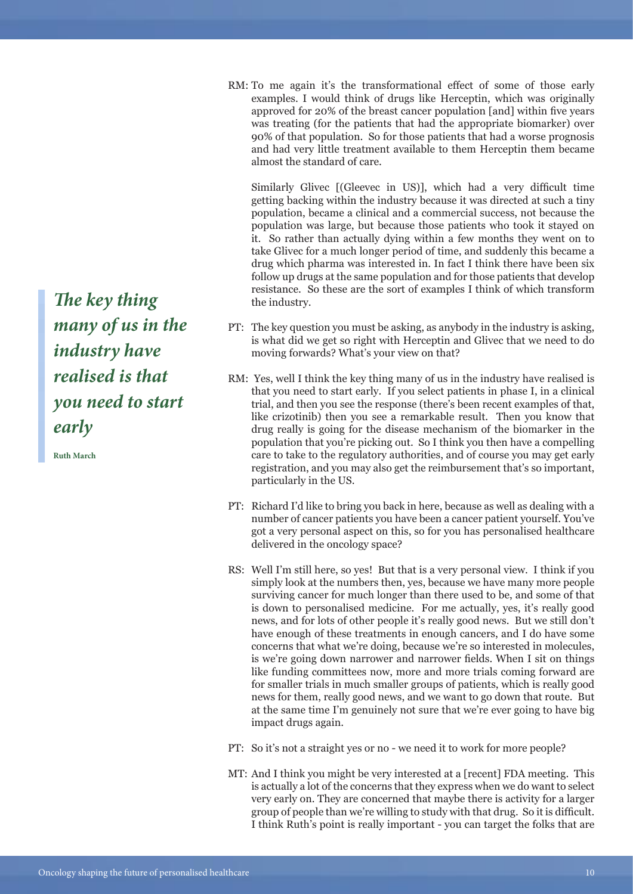RM: To me again it's the transformational effect of some of those early examples. I would think of drugs like Herceptin, which was originally approved for 20% of the breast cancer population [and] within five years was treating (for the patients that had the appropriate biomarker) over 90% of that population. So for those patients that had a worse prognosis and had very little treatment available to them Herceptin them became almost the standard of care.

Similarly Glivec [(Gleevec in US)], which had a very difficult time getting backing within the industry because it was directed at such a tiny population, became a clinical and a commercial success, not because the population was large, but because those patients who took it stayed on it. So rather than actually dying within a few months they went on to take Glivec for a much longer period of time, and suddenly this became a drug which pharma was interested in. In fact I think there have been six follow up drugs at the same population and for those patients that develop resistance. So these are the sort of examples I think of which transform the industry.

- PT: The key question you must be asking, as anybody in the industry is asking, is what did we get so right with Herceptin and Glivec that we need to do moving forwards? What's your view on that?
- RM: Yes, well I think the key thing many of us in the industry have realised is that you need to start early. If you select patients in phase I, in a clinical trial, and then you see the response (there's been recent examples of that, like crizotinib) then you see a remarkable result. Then you know that drug really is going for the disease mechanism of the biomarker in the population that you're picking out. So I think you then have a compelling care to take to the regulatory authorities, and of course you may get early registration, and you may also get the reimbursement that's so important, particularly in the US.
- PT: Richard I'd like to bring you back in here, because as well as dealing with a number of cancer patients you have been a cancer patient yourself. You've got a very personal aspect on this, so for you has personalised healthcare delivered in the oncology space?
- RS: Well I'm still here, so yes! But that is a very personal view. I think if you simply look at the numbers then, yes, because we have many more people surviving cancer for much longer than there used to be, and some of that is down to personalised medicine. For me actually, yes, it's really good news, and for lots of other people it's really good news. But we still don't have enough of these treatments in enough cancers, and I do have some concerns that what we're doing, because we're so interested in molecules, is we're going down narrower and narrower fields. When I sit on things like funding committees now, more and more trials coming forward are for smaller trials in much smaller groups of patients, which is really good news for them, really good news, and we want to go down that route. But at the same time I'm genuinely not sure that we're ever going to have big impact drugs again.
- PT: So it's not a straight yes or no we need it to work for more people?
- MT: And I think you might be very interested at a [recent] FDA meeting. This is actually a lot of the concerns that they express when we do want to select very early on. They are concerned that maybe there is activity for a larger group of people than we're willing to study with that drug. So it is difficult. I think Ruth's point is really important - you can target the folks that are

*The key thing many of us in the industry have realised is that you need to start early* 

**Ruth March**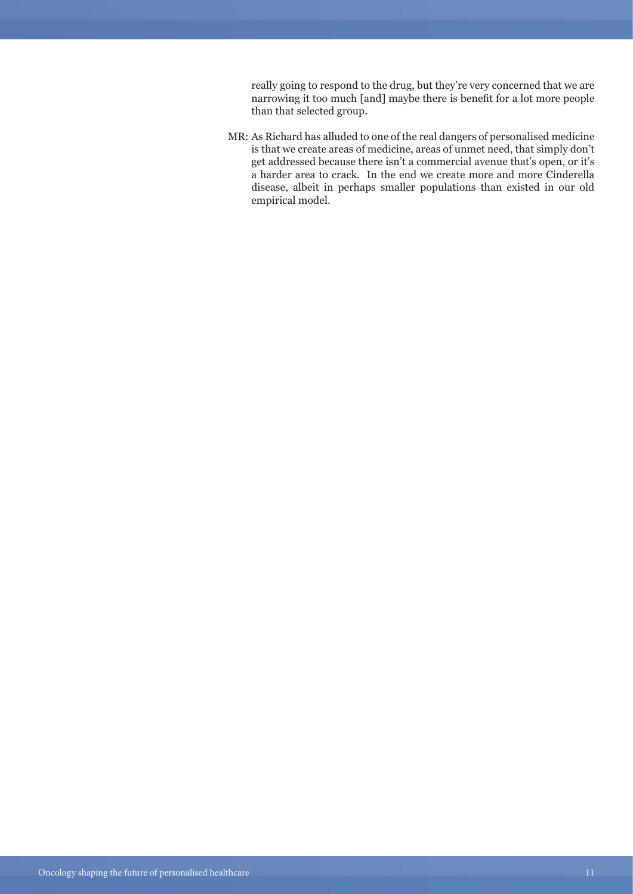really going to respond to the drug, but they're very concerned that we are narrowing it too much [and] maybe there is benefit for a lot more people than that selected group.

MR: As Richard has alluded to one of the real dangers of personalised medicine is that we create areas of medicine, areas of unmet need, that simply don't get addressed because there isn't a commercial avenue that's open, or it's a harder area to crack. In the end we create more and more Cinderella disease, albeit in perhaps smaller populations than existed in our old empirical model.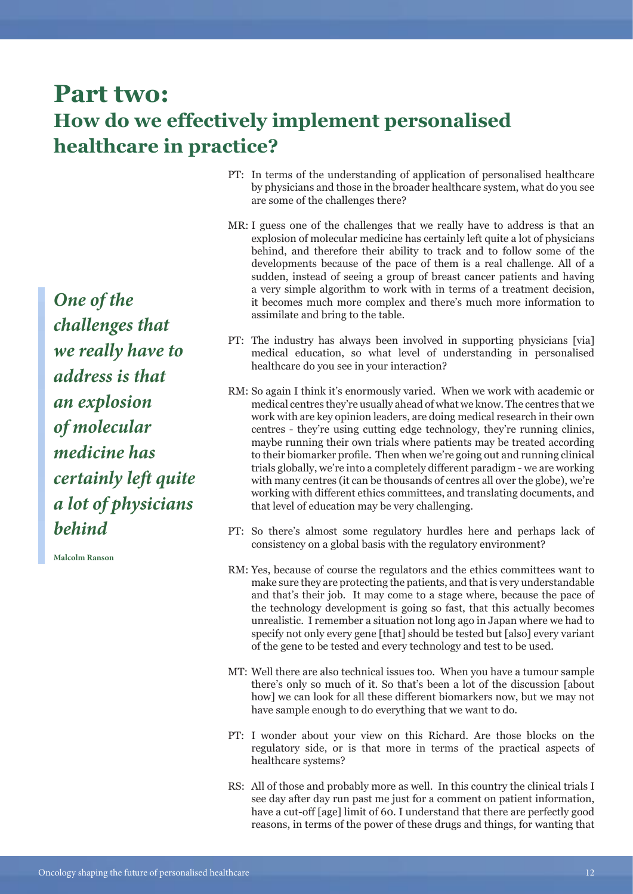### **Part two: How do we effectively implement personalised healthcare in practice?**

*One of the challenges that we really have to address is that an explosion of molecular medicine has certainly left quite a lot of physicians behind*

**Malcolm Ranson**

- PT: In terms of the understanding of application of personalised healthcare by physicians and those in the broader healthcare system, what do you see are some of the challenges there?
- MR: I guess one of the challenges that we really have to address is that an explosion of molecular medicine has certainly left quite a lot of physicians behind, and therefore their ability to track and to follow some of the developments because of the pace of them is a real challenge. All of a sudden, instead of seeing a group of breast cancer patients and having a very simple algorithm to work with in terms of a treatment decision, it becomes much more complex and there's much more information to assimilate and bring to the table.
- PT: The industry has always been involved in supporting physicians [via] medical education, so what level of understanding in personalised healthcare do you see in your interaction?
- RM: So again I think it's enormously varied. When we work with academic or medical centres they're usually ahead of what we know. The centres that we work with are key opinion leaders, are doing medical research in their own centres - they're using cutting edge technology, they're running clinics, maybe running their own trials where patients may be treated according to their biomarker profile. Then when we're going out and running clinical trials globally, we're into a completely different paradigm - we are working with many centres (it can be thousands of centres all over the globe), we're working with different ethics committees, and translating documents, and that level of education may be very challenging.
- PT: So there's almost some regulatory hurdles here and perhaps lack of consistency on a global basis with the regulatory environment?
- RM: Yes, because of course the regulators and the ethics committees want to make sure they are protecting the patients, and that is very understandable and that's their job. It may come to a stage where, because the pace of the technology development is going so fast, that this actually becomes unrealistic. I remember a situation not long ago in Japan where we had to specify not only every gene [that] should be tested but [also] every variant of the gene to be tested and every technology and test to be used.
- MT: Well there are also technical issues too. When you have a tumour sample there's only so much of it. So that's been a lot of the discussion [about how] we can look for all these different biomarkers now, but we may not have sample enough to do everything that we want to do.
- PT: I wonder about your view on this Richard. Are those blocks on the regulatory side, or is that more in terms of the practical aspects of healthcare systems?
- RS: All of those and probably more as well. In this country the clinical trials I see day after day run past me just for a comment on patient information, have a cut-off [age] limit of 60. I understand that there are perfectly good reasons, in terms of the power of these drugs and things, for wanting that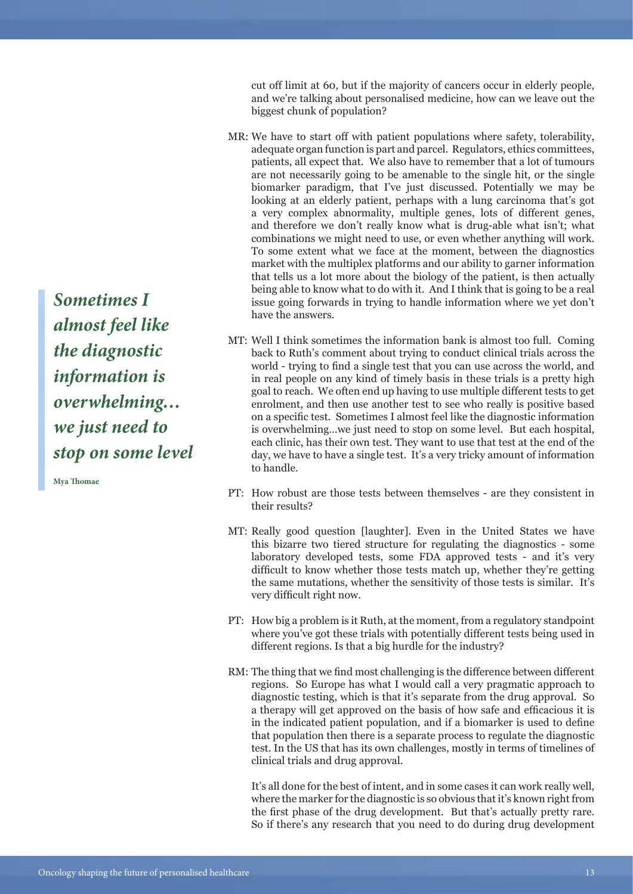cut off limit at 60, but if the majority of cancers occur in elderly people, and we're talking about personalised medicine, how can we leave out the biggest chunk of population?

- We have to start off with patient populations where safety, tolerability, MR: adequate organ function is part and parcel. Regulators, ethics committees, patients, all expect that. We also have to remember that a lot of tumours are not necessarily going to be amenable to the single hit, or the single biomarker paradigm, that I've just discussed. Potentially we may be looking at an elderly patient, perhaps with a lung carcinoma that's got a very complex abnormality, multiple genes, lots of different genes, and therefore we don't really know what is drug-able what isn't; what combinations we might need to use, or even whether anything will work. To some extent what we face at the moment, between the diagnostics market with the multiplex platforms and our ability to garner information that tells us a lot more about the biology of the patient, is then actually being able to know what to do with it. And I think that is going to be a real issue going forwards in trying to handle information where we yet don't have the answers.
- Well I think sometimes the information bank is almost too full. Coming MT: back to Ruth's comment about trying to conduct clinical trials across the world - trying to find a single test that you can use across the world, and in real people on any kind of timely basis in these trials is a pretty high goal to reach. We often end up having to use multiple different tests to get enrolment, and then use another test to see who really is positive based on a specific test. Sometimes I almost feel like the diagnostic information is overwhelming…we just need to stop on some level. But each hospital, each clinic, has their own test. They want to use that test at the end of the day, we have to have a single test. It's a very tricky amount of information to handle.
- PT: How robust are those tests between themselves are they consistent in their results?
- MT: Really good question [laughter]. Even in the United States we have this bizarre two tiered structure for regulating the diagnostics - some laboratory developed tests, some FDA approved tests - and it's very difficult to know whether those tests match up, whether they're getting the same mutations, whether the sensitivity of those tests is similar. It's very difficult right now.
- PT: How big a problem is it Ruth, at the moment, from a regulatory standpoint where you've got these trials with potentially different tests being used in different regions. Is that a big hurdle for the industry?
- RM: The thing that we find most challenging is the difference between different regions. So Europe has what I would call a very pragmatic approach to diagnostic testing, which is that it's separate from the drug approval. So a therapy will get approved on the basis of how safe and efficacious it is in the indicated patient population, and if a biomarker is used to define that population then there is a separate process to regulate the diagnostic test. In the US that has its own challenges, mostly in terms of timelines of clinical trials and drug approval.

It's all done for the best of intent, and in some cases it can work really well, where the marker for the diagnostic is so obvious that it's known right from the first phase of the drug development. But that's actually pretty rare. So if there's any research that you need to do during drug development

*Sometimes I almost feel like the diagnostic information is overwhelming… we just need to stop on some level*

**Mya Thomae**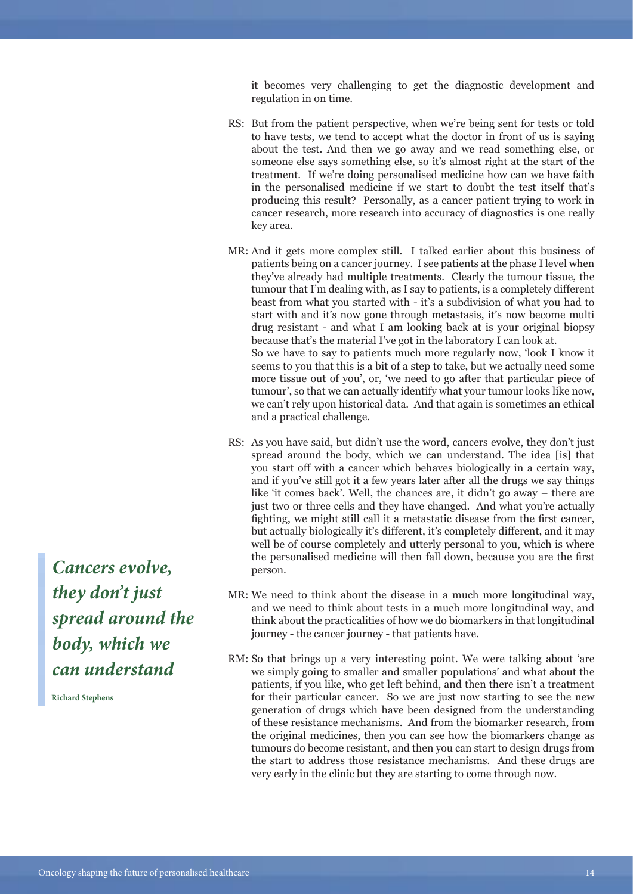it becomes very challenging to get the diagnostic development and regulation in on time.

- RS: But from the patient perspective, when we're being sent for tests or told to have tests, we tend to accept what the doctor in front of us is saying about the test. And then we go away and we read something else, or someone else says something else, so it's almost right at the start of the treatment. If we're doing personalised medicine how can we have faith in the personalised medicine if we start to doubt the test itself that's producing this result? Personally, as a cancer patient trying to work in cancer research, more research into accuracy of diagnostics is one really key area.
- MR: And it gets more complex still. I talked earlier about this business of patients being on a cancer journey. I see patients at the phase I level when they've already had multiple treatments. Clearly the tumour tissue, the tumour that I'm dealing with, as I say to patients, is a completely different beast from what you started with - it's a subdivision of what you had to start with and it's now gone through metastasis, it's now become multi drug resistant - and what I am looking back at is your original biopsy because that's the material I've got in the laboratory I can look at. So we have to say to patients much more regularly now, 'look I know it seems to you that this is a bit of a step to take, but we actually need some more tissue out of you', or, 'we need to go after that particular piece of tumour', so that we can actually identify what your tumour looks like now, we can't rely upon historical data. And that again is sometimes an ethical and a practical challenge.
- RS: As you have said, but didn't use the word, cancers evolve, they don't just spread around the body, which we can understand. The idea [is] that you start off with a cancer which behaves biologically in a certain way, and if you've still got it a few years later after all the drugs we say things like 'it comes back'. Well, the chances are, it didn't go away – there are just two or three cells and they have changed. And what you're actually fighting, we might still call it a metastatic disease from the first cancer, but actually biologically it's different, it's completely different, and it may well be of course completely and utterly personal to you, which is where the personalised medicine will then fall down, because you are the first person.
- MR: We need to think about the disease in a much more longitudinal way, and we need to think about tests in a much more longitudinal way, and think about the practicalities of how we do biomarkers in that longitudinal journey - the cancer journey - that patients have.
- RM: So that brings up a very interesting point. We were talking about 'are we simply going to smaller and smaller populations' and what about the patients, if you like, who get left behind, and then there isn't a treatment for their particular cancer. So we are just now starting to see the new generation of drugs which have been designed from the understanding of these resistance mechanisms. And from the biomarker research, from the original medicines, then you can see how the biomarkers change as tumours do become resistant, and then you can start to design drugs from the start to address those resistance mechanisms. And these drugs are very early in the clinic but they are starting to come through now.

*Cancers evolve, they don't just spread around the body, which we can understand* 

**Richard Stephens**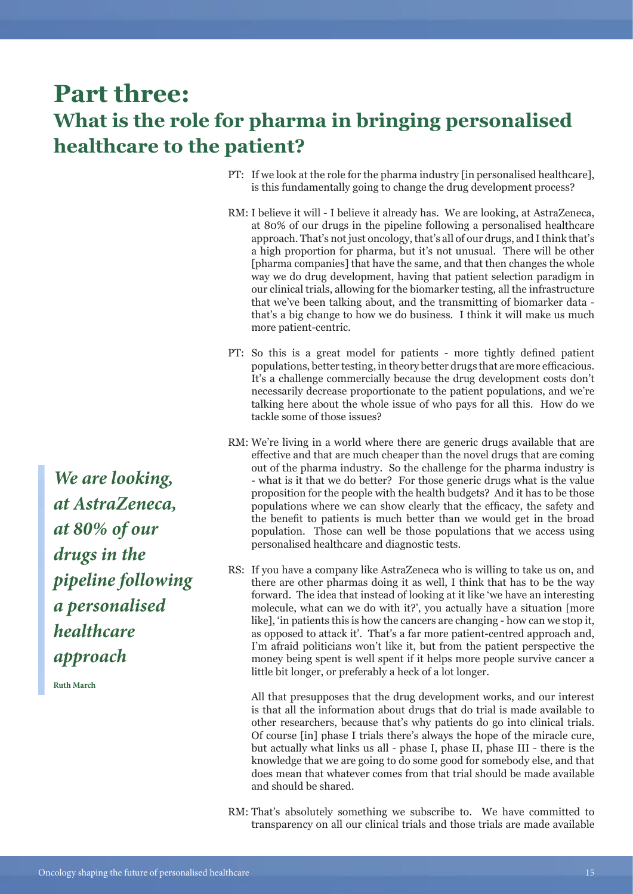### **Part three: What is the role for pharma in bringing personalised healthcare to the patient?**

- PT: If we look at the role for the pharma industry [in personalised healthcare], is this fundamentally going to change the drug development process?
- RM: I believe it will I believe it already has. We are looking, at AstraZeneca, at 80% of our drugs in the pipeline following a personalised healthcare approach. That's not just oncology, that's all of our drugs, and I think that's a high proportion for pharma, but it's not unusual. There will be other [pharma companies] that have the same, and that then changes the whole way we do drug development, having that patient selection paradigm in our clinical trials, allowing for the biomarker testing, all the infrastructure that we've been talking about, and the transmitting of biomarker data that's a big change to how we do business. I think it will make us much more patient-centric.
- PT: So this is a great model for patients more tightly defined patient populations, better testing, in theory better drugs that are more efficacious. It's a challenge commercially because the drug development costs don't necessarily decrease proportionate to the patient populations, and we're talking here about the whole issue of who pays for all this. How do we tackle some of those issues?
- RM: We're living in a world where there are generic drugs available that are effective and that are much cheaper than the novel drugs that are coming out of the pharma industry. So the challenge for the pharma industry is - what is it that we do better? For those generic drugs what is the value proposition for the people with the health budgets? And it has to be those populations where we can show clearly that the efficacy, the safety and the benefit to patients is much better than we would get in the broad population. Those can well be those populations that we access using personalised healthcare and diagnostic tests.
- RS: If you have a company like AstraZeneca who is willing to take us on, and there are other pharmas doing it as well, I think that has to be the way forward. The idea that instead of looking at it like 'we have an interesting molecule, what can we do with it?', you actually have a situation [more like], 'in patients this is how the cancers are changing - how can we stop it, as opposed to attack it'. That's a far more patient-centred approach and, I'm afraid politicians won't like it, but from the patient perspective the money being spent is well spent if it helps more people survive cancer a little bit longer, or preferably a heck of a lot longer.

All that presupposes that the drug development works, and our interest is that all the information about drugs that do trial is made available to other researchers, because that's why patients do go into clinical trials. Of course [in] phase I trials there's always the hope of the miracle cure, but actually what links us all - phase I, phase II, phase III - there is the knowledge that we are going to do some good for somebody else, and that does mean that whatever comes from that trial should be made available and should be shared.

RM: That's absolutely something we subscribe to. We have committed to transparency on all our clinical trials and those trials are made available

*We are looking, at AstraZeneca, at 80% of our drugs in the pipeline following a personalised healthcare approach*

**Ruth March**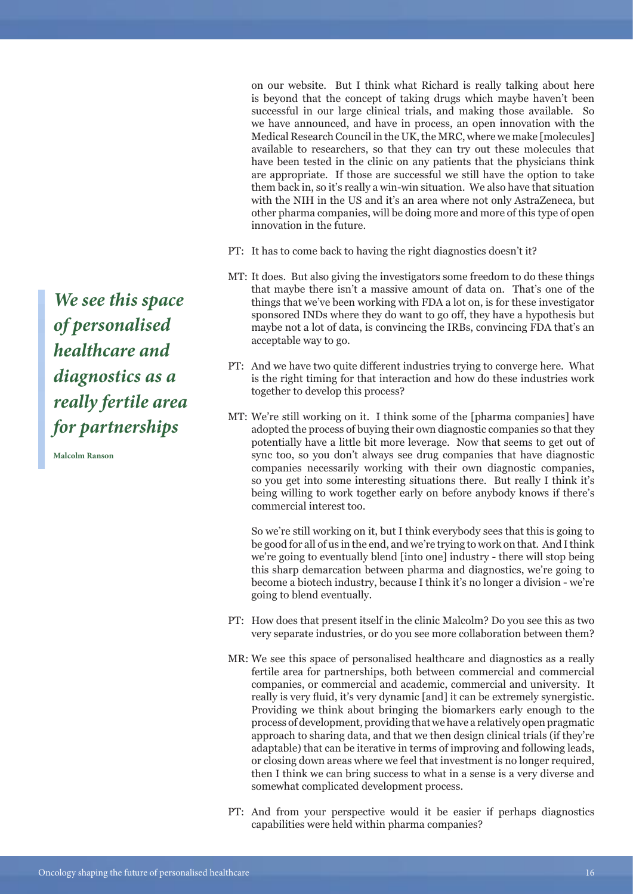on our website. But I think what Richard is really talking about here is beyond that the concept of taking drugs which maybe haven't been successful in our large clinical trials, and making those available. So we have announced, and have in process, an open innovation with the Medical Research Council in the UK, the MRC, where we make [molecules] available to researchers, so that they can try out these molecules that have been tested in the clinic on any patients that the physicians think are appropriate. If those are successful we still have the option to take them back in, so it's really a win-win situation. We also have that situation with the NIH in the US and it's an area where not only AstraZeneca, but other pharma companies, will be doing more and more of this type of open innovation in the future.

- PT: It has to come back to having the right diagnostics doesn't it?
- MT: It does. But also giving the investigators some freedom to do these things that maybe there isn't a massive amount of data on. That's one of the things that we've been working with FDA a lot on, is for these investigator sponsored INDs where they do want to go off, they have a hypothesis but maybe not a lot of data, is convincing the IRBs, convincing FDA that's an acceptable way to go.
- PT: And we have two quite different industries trying to converge here. What is the right timing for that interaction and how do these industries work together to develop this process?
- We're still working on it. I think some of the [pharma companies] have MT: adopted the process of buying their own diagnostic companies so that they potentially have a little bit more leverage. Now that seems to get out of sync too, so you don't always see drug companies that have diagnostic companies necessarily working with their own diagnostic companies, so you get into some interesting situations there. But really I think it's being willing to work together early on before anybody knows if there's commercial interest too.

So we're still working on it, but I think everybody sees that this is going to be good for all of us in the end, and we're trying to work on that. And I think we're going to eventually blend [into one] industry - there will stop being this sharp demarcation between pharma and diagnostics, we're going to become a biotech industry, because I think it's no longer a division - we're going to blend eventually.

- PT: How does that present itself in the clinic Malcolm? Do you see this as two very separate industries, or do you see more collaboration between them?
- MR: We see this space of personalised healthcare and diagnostics as a really fertile area for partnerships, both between commercial and commercial companies, or commercial and academic, commercial and university. It really is very fluid, it's very dynamic [and] it can be extremely synergistic. Providing we think about bringing the biomarkers early enough to the process of development, providing that we have a relatively open pragmatic approach to sharing data, and that we then design clinical trials (if they're adaptable) that can be iterative in terms of improving and following leads, or closing down areas where we feel that investment is no longer required, then I think we can bring success to what in a sense is a very diverse and somewhat complicated development process.
- PT: And from your perspective would it be easier if perhaps diagnostics capabilities were held within pharma companies?

*We see this space of personalised healthcare and diagnostics as a really fertile area for partnerships*

**Malcolm Ranson**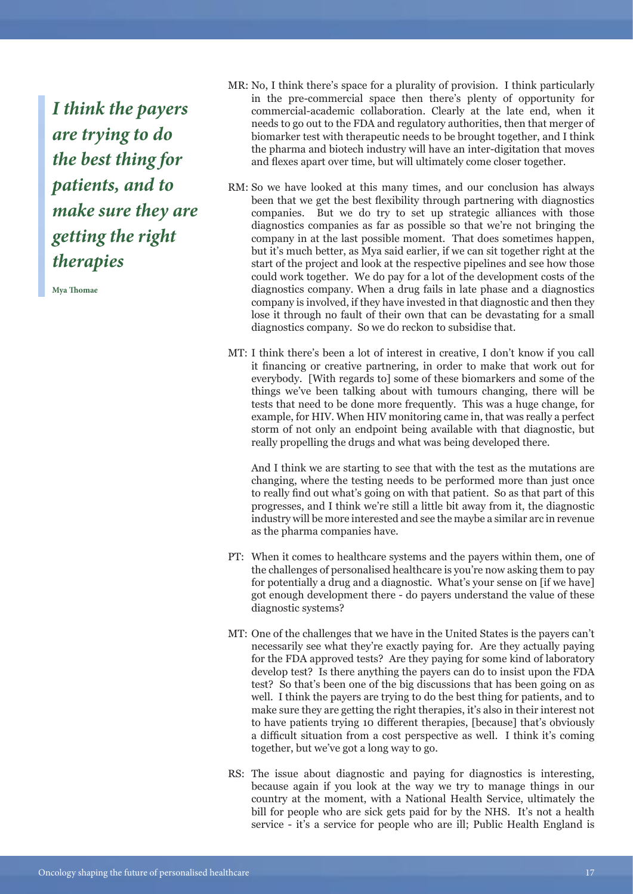*I think the payers are trying to do the best thing for patients, and to make sure they are getting the right therapies*

**Mya Thomae**

- MR: No, I think there's space for a plurality of provision. I think particularly in the pre-commercial space then there's plenty of opportunity for commercial-academic collaboration. Clearly at the late end, when it needs to go out to the FDA and regulatory authorities, then that merger of biomarker test with therapeutic needs to be brought together, and I think the pharma and biotech industry will have an inter-digitation that moves and flexes apart over time, but will ultimately come closer together.
- RM: So we have looked at this many times, and our conclusion has always been that we get the best flexibility through partnering with diagnostics companies. But we do try to set up strategic alliances with those diagnostics companies as far as possible so that we're not bringing the company in at the last possible moment. That does sometimes happen, but it's much better, as Mya said earlier, if we can sit together right at the start of the project and look at the respective pipelines and see how those could work together. We do pay for a lot of the development costs of the diagnostics company. When a drug fails in late phase and a diagnostics company is involved, if they have invested in that diagnostic and then they lose it through no fault of their own that can be devastating for a small diagnostics company. So we do reckon to subsidise that.
- MT: I think there's been a lot of interest in creative, I don't know if you call it financing or creative partnering, in order to make that work out for everybody. [With regards to] some of these biomarkers and some of the things we've been talking about with tumours changing, there will be tests that need to be done more frequently. This was a huge change, for example, for HIV. When HIV monitoring came in, that was really a perfect storm of not only an endpoint being available with that diagnostic, but really propelling the drugs and what was being developed there.

And I think we are starting to see that with the test as the mutations are changing, where the testing needs to be performed more than just once to really find out what's going on with that patient. So as that part of this progresses, and I think we're still a little bit away from it, the diagnostic industry will be more interested and see the maybe a similar arc in revenue as the pharma companies have.

- PT: When it comes to healthcare systems and the payers within them, one of the challenges of personalised healthcare is you're now asking them to pay for potentially a drug and a diagnostic. What's your sense on [if we have] got enough development there - do payers understand the value of these diagnostic systems?
- MT: One of the challenges that we have in the United States is the payers can't necessarily see what they're exactly paying for. Are they actually paying for the FDA approved tests? Are they paying for some kind of laboratory develop test? Is there anything the payers can do to insist upon the FDA test? So that's been one of the big discussions that has been going on as well. I think the payers are trying to do the best thing for patients, and to make sure they are getting the right therapies, it's also in their interest not to have patients trying 10 different therapies, [because] that's obviously a difficult situation from a cost perspective as well. I think it's coming together, but we've got a long way to go.
- RS: The issue about diagnostic and paying for diagnostics is interesting, because again if you look at the way we try to manage things in our country at the moment, with a National Health Service, ultimately the bill for people who are sick gets paid for by the NHS. It's not a health service - it's a service for people who are ill; Public Health England is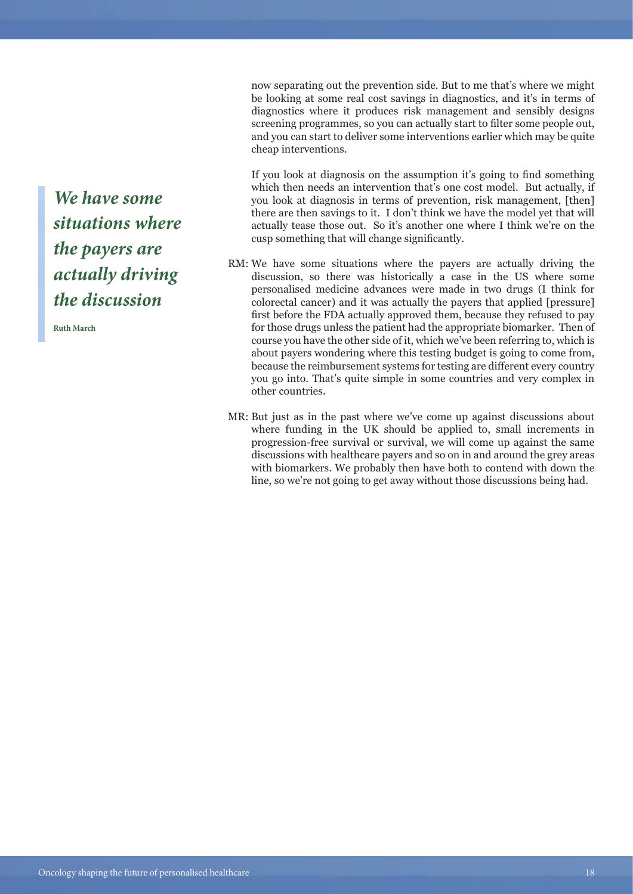now separating out the prevention side. But to me that's where we might be looking at some real cost savings in diagnostics, and it's in terms of diagnostics where it produces risk management and sensibly designs screening programmes, so you can actually start to filter some people out, and you can start to deliver some interventions earlier which may be quite cheap interventions.

If you look at diagnosis on the assumption it's going to find something which then needs an intervention that's one cost model. But actually, if you look at diagnosis in terms of prevention, risk management, [then] there are then savings to it. I don't think we have the model yet that will actually tease those out. So it's another one where I think we're on the cusp something that will change significantly.

- RM: We have some situations where the payers are actually driving the discussion, so there was historically a case in the US where some personalised medicine advances were made in two drugs (I think for colorectal cancer) and it was actually the payers that applied [pressure] first before the FDA actually approved them, because they refused to pay for those drugs unless the patient had the appropriate biomarker. Then of course you have the other side of it, which we've been referring to, which is about payers wondering where this testing budget is going to come from, because the reimbursement systems for testing are different every country you go into. That's quite simple in some countries and very complex in other countries.
- MR: But just as in the past where we've come up against discussions about where funding in the UK should be applied to, small increments in progression-free survival or survival, we will come up against the same discussions with healthcare payers and so on in and around the grey areas with biomarkers. We probably then have both to contend with down the line, so we're not going to get away without those discussions being had.

*We have some situations where the payers are actually driving the discussion*

**Ruth March**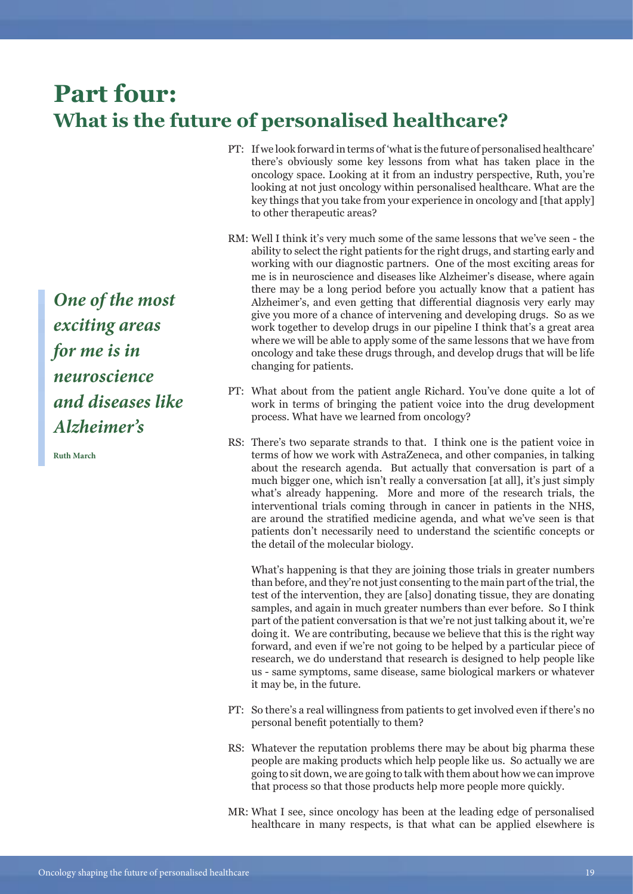## **Part four: What is the future of personalised healthcare?**

- PT: If we look forward in terms of 'what is the future of personalised healthcare' there's obviously some key lessons from what has taken place in the oncology space. Looking at it from an industry perspective, Ruth, you're looking at not just oncology within personalised healthcare. What are the key things that you take from your experience in oncology and [that apply] to other therapeutic areas?
- RM: Well I think it's very much some of the same lessons that we've seen the ability to select the right patients for the right drugs, and starting early and working with our diagnostic partners. One of the most exciting areas for me is in neuroscience and diseases like Alzheimer's disease, where again there may be a long period before you actually know that a patient has Alzheimer's, and even getting that differential diagnosis very early may give you more of a chance of intervening and developing drugs. So as we work together to develop drugs in our pipeline I think that's a great area where we will be able to apply some of the same lessons that we have from oncology and take these drugs through, and develop drugs that will be life changing for patients.
- PT: What about from the patient angle Richard. You've done quite a lot of work in terms of bringing the patient voice into the drug development process. What have we learned from oncology?
- RS: There's two separate strands to that. I think one is the patient voice in terms of how we work with AstraZeneca, and other companies, in talking about the research agenda. But actually that conversation is part of a much bigger one, which isn't really a conversation [at all], it's just simply what's already happening. More and more of the research trials, the interventional trials coming through in cancer in patients in the NHS, are around the stratified medicine agenda, and what we've seen is that patients don't necessarily need to understand the scientific concepts or the detail of the molecular biology.

What's happening is that they are joining those trials in greater numbers than before, and they're not just consenting to the main part of the trial, the test of the intervention, they are [also] donating tissue, they are donating samples, and again in much greater numbers than ever before. So I think part of the patient conversation is that we're not just talking about it, we're doing it. We are contributing, because we believe that this is the right way forward, and even if we're not going to be helped by a particular piece of research, we do understand that research is designed to help people like us - same symptoms, same disease, same biological markers or whatever it may be, in the future.

- PT: So there's a real willingness from patients to get involved even if there's no personal benefit potentially to them?
- RS: Whatever the reputation problems there may be about big pharma these people are making products which help people like us. So actually we are going to sit down, we are going to talk with them about how we can improve that process so that those products help more people more quickly.
- MR: What I see, since oncology has been at the leading edge of personalised healthcare in many respects, is that what can be applied elsewhere is

*One of the most exciting areas for me is in neuroscience and diseases like Alzheimer's*

**Ruth March**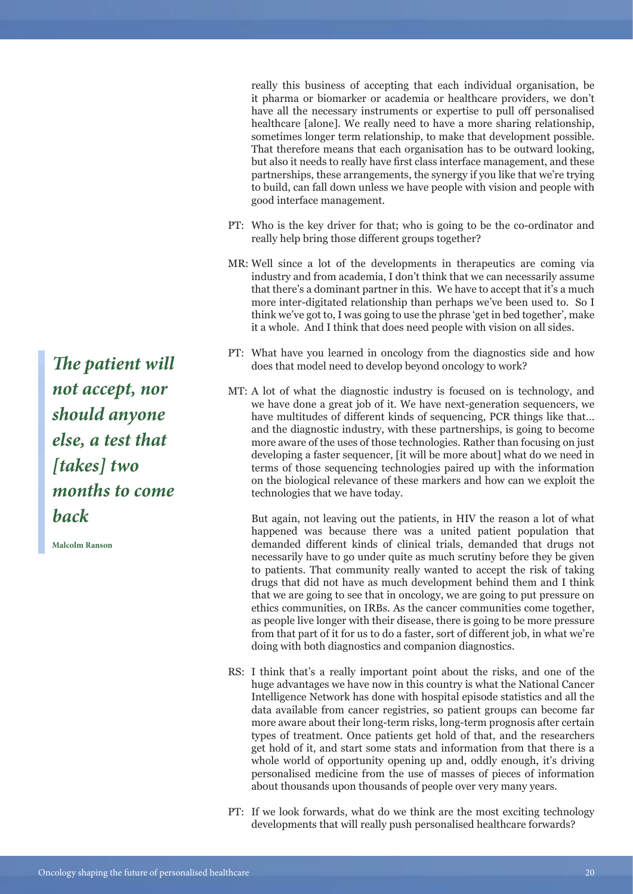really this business of accepting that each individual organisation, be it pharma or biomarker or academia or healthcare providers, we don't have all the necessary instruments or expertise to pull off personalised healthcare [alone]. We really need to have a more sharing relationship, sometimes longer term relationship, to make that development possible. That therefore means that each organisation has to be outward looking, but also it needs to really have first class interface management, and these partnerships, these arrangements, the synergy if you like that we're trying to build, can fall down unless we have people with vision and people with good interface management.

- PT: Who is the key driver for that; who is going to be the co-ordinator and really help bring those different groups together?
- Well since a lot of the developments in therapeutics are coming via MR: industry and from academia, I don't think that we can necessarily assume that there's a dominant partner in this. We have to accept that it's a much more inter-digitated relationship than perhaps we've been used to. So I think we've got to, I was going to use the phrase 'get in bed together', make it a whole. And I think that does need people with vision on all sides.
- PT: What have you learned in oncology from the diagnostics side and how does that model need to develop beyond oncology to work?
- MT: A lot of what the diagnostic industry is focused on is technology, and we have done a great job of it. We have next-generation sequencers, we have multitudes of different kinds of sequencing, PCR things like that… and the diagnostic industry, with these partnerships, is going to become more aware of the uses of those technologies. Rather than focusing on just developing a faster sequencer, [it will be more about] what do we need in terms of those sequencing technologies paired up with the information on the biological relevance of these markers and how can we exploit the technologies that we have today.

But again, not leaving out the patients, in HIV the reason a lot of what happened was because there was a united patient population that demanded different kinds of clinical trials, demanded that drugs not necessarily have to go under quite as much scrutiny before they be given to patients. That community really wanted to accept the risk of taking drugs that did not have as much development behind them and I think that we are going to see that in oncology, we are going to put pressure on ethics communities, on IRBs. As the cancer communities come together, as people live longer with their disease, there is going to be more pressure from that part of it for us to do a faster, sort of different job, in what we're doing with both diagnostics and companion diagnostics.

- RS: I think that's a really important point about the risks, and one of the huge advantages we have now in this country is what the National Cancer Intelligence Network has done with hospital episode statistics and all the data available from cancer registries, so patient groups can become far more aware about their long-term risks, long-term prognosis after certain types of treatment. Once patients get hold of that, and the researchers get hold of it, and start some stats and information from that there is a whole world of opportunity opening up and, oddly enough, it's driving personalised medicine from the use of masses of pieces of information about thousands upon thousands of people over very many years.
- PT: If we look forwards, what do we think are the most exciting technology developments that will really push personalised healthcare forwards?

*The patient will not accept, nor should anyone else, a test that [takes] two months to come back* 

**Malcolm Ranson**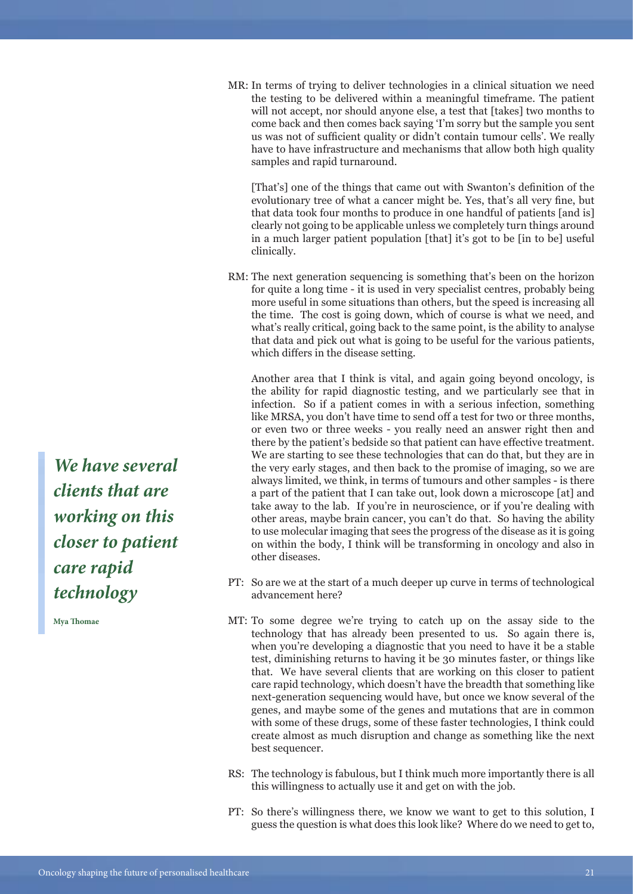MR: In terms of trying to deliver technologies in a clinical situation we need the testing to be delivered within a meaningful timeframe. The patient will not accept, nor should anyone else, a test that [takes] two months to come back and then comes back saying 'I'm sorry but the sample you sent us was not of sufficient quality or didn't contain tumour cells'. We really have to have infrastructure and mechanisms that allow both high quality samples and rapid turnaround.

[That's] one of the things that came out with Swanton's definition of the evolutionary tree of what a cancer might be. Yes, that's all very fine, but that data took four months to produce in one handful of patients [and is] clearly not going to be applicable unless we completely turn things around in a much larger patient population [that] it's got to be [in to be] useful clinically.

RM: The next generation sequencing is something that's been on the horizon for quite a long time - it is used in very specialist centres, probably being more useful in some situations than others, but the speed is increasing all the time. The cost is going down, which of course is what we need, and what's really critical, going back to the same point, is the ability to analyse that data and pick out what is going to be useful for the various patients, which differs in the disease setting.

Another area that I think is vital, and again going beyond oncology, is the ability for rapid diagnostic testing, and we particularly see that in infection. So if a patient comes in with a serious infection, something like MRSA, you don't have time to send off a test for two or three months, or even two or three weeks - you really need an answer right then and there by the patient's bedside so that patient can have effective treatment. We are starting to see these technologies that can do that, but they are in the very early stages, and then back to the promise of imaging, so we are always limited, we think, in terms of tumours and other samples - is there a part of the patient that I can take out, look down a microscope [at] and take away to the lab. If you're in neuroscience, or if you're dealing with other areas, maybe brain cancer, you can't do that. So having the ability to use molecular imaging that sees the progress of the disease as it is going on within the body, I think will be transforming in oncology and also in other diseases.

- PT: So are we at the start of a much deeper up curve in terms of technological advancement here?
- MT: To some degree we're trying to catch up on the assay side to the technology that has already been presented to us. So again there is, when you're developing a diagnostic that you need to have it be a stable test, diminishing returns to having it be 30 minutes faster, or things like that. We have several clients that are working on this closer to patient care rapid technology, which doesn't have the breadth that something like next-generation sequencing would have, but once we know several of the genes, and maybe some of the genes and mutations that are in common with some of these drugs, some of these faster technologies, I think could create almost as much disruption and change as something like the next best sequencer.
- RS: The technology is fabulous, but I think much more importantly there is all this willingness to actually use it and get on with the job.
- PT: So there's willingness there, we know we want to get to this solution, I guess the question is what does this look like? Where do we need to get to,

*We have several clients that are working on this closer to patient care rapid technology*

**Mya Thomae**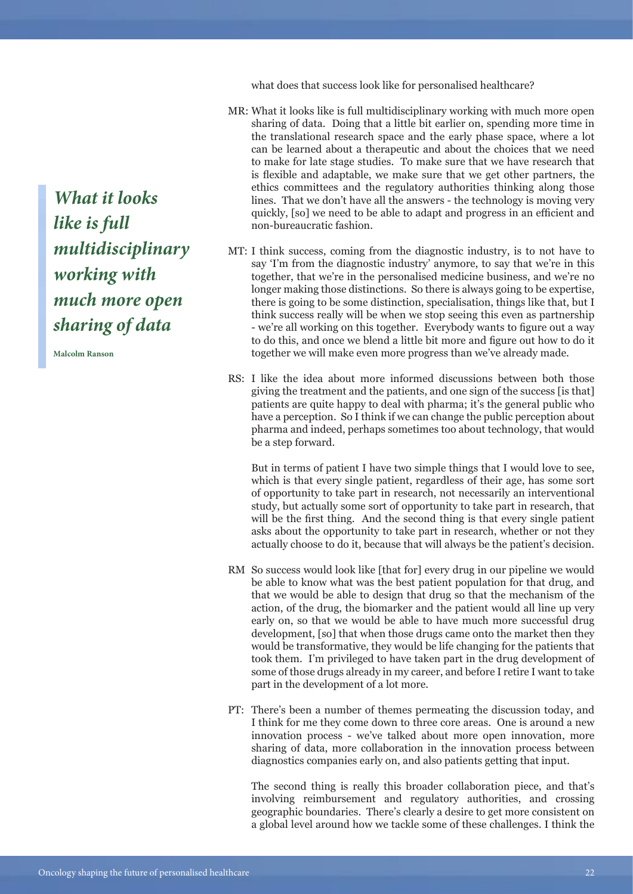what does that success look like for personalised healthcare?

- What it looks like is full multidisciplinary working with much more open MR: sharing of data. Doing that a little bit earlier on, spending more time in the translational research space and the early phase space, where a lot can be learned about a therapeutic and about the choices that we need to make for late stage studies. To make sure that we have research that is flexible and adaptable, we make sure that we get other partners, the ethics committees and the regulatory authorities thinking along those lines. That we don't have all the answers - the technology is moving very quickly, [so] we need to be able to adapt and progress in an efficient and non-bureaucratic fashion.
- MT: I think success, coming from the diagnostic industry, is to not have to say 'I'm from the diagnostic industry' anymore, to say that we're in this together, that we're in the personalised medicine business, and we're no longer making those distinctions. So there is always going to be expertise, there is going to be some distinction, specialisation, things like that, but I think success really will be when we stop seeing this even as partnership - we're all working on this together. Everybody wants to figure out a way to do this, and once we blend a little bit more and figure out how to do it together we will make even more progress than we've already made.
- RS: I like the idea about more informed discussions between both those giving the treatment and the patients, and one sign of the success [is that] patients are quite happy to deal with pharma; it's the general public who have a perception. So I think if we can change the public perception about pharma and indeed, perhaps sometimes too about technology, that would be a step forward.

But in terms of patient I have two simple things that I would love to see, which is that every single patient, regardless of their age, has some sort of opportunity to take part in research, not necessarily an interventional study, but actually some sort of opportunity to take part in research, that will be the first thing. And the second thing is that every single patient asks about the opportunity to take part in research, whether or not they actually choose to do it, because that will always be the patient's decision.

- RM So success would look like [that for] every drug in our pipeline we would be able to know what was the best patient population for that drug, and that we would be able to design that drug so that the mechanism of the action, of the drug, the biomarker and the patient would all line up very early on, so that we would be able to have much more successful drug development, [so] that when those drugs came onto the market then they would be transformative, they would be life changing for the patients that took them. I'm privileged to have taken part in the drug development of some of those drugs already in my career, and before I retire I want to take part in the development of a lot more.
- PT: There's been a number of themes permeating the discussion today, and I think for me they come down to three core areas. One is around a new innovation process - we've talked about more open innovation, more sharing of data, more collaboration in the innovation process between diagnostics companies early on, and also patients getting that input.

The second thing is really this broader collaboration piece, and that's involving reimbursement and regulatory authorities, and crossing geographic boundaries. There's clearly a desire to get more consistent on a global level around how we tackle some of these challenges. I think the

*What it looks like is full multidisciplinary working with much more open sharing of data*

**Malcolm Ranson**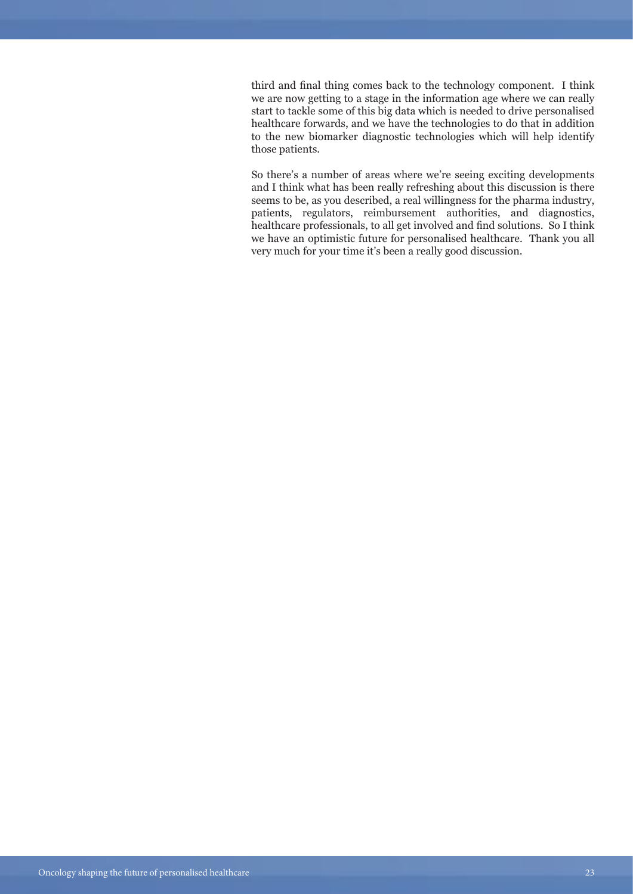third and final thing comes back to the technology component. I think we are now getting to a stage in the information age where we can really start to tackle some of this big data which is needed to drive personalised healthcare forwards, and we have the technologies to do that in addition to the new biomarker diagnostic technologies which will help identify those patients.

So there's a number of areas where we're seeing exciting developments and I think what has been really refreshing about this discussion is there seems to be, as you described, a real willingness for the pharma industry, patients, regulators, reimbursement authorities, and diagnostics, healthcare professionals, to all get involved and find solutions. So I think we have an optimistic future for personalised healthcare. Thank you all very much for your time it's been a really good discussion.